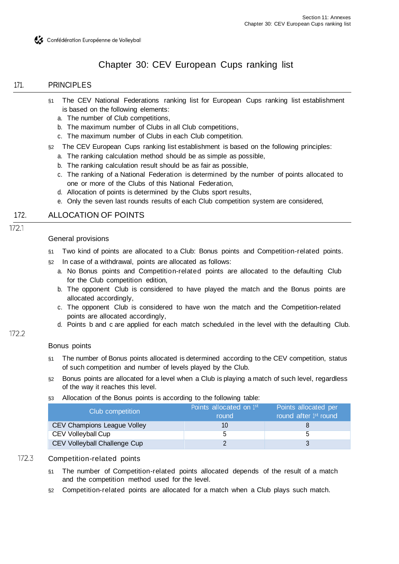

# Chapter 30: CEV European Cups ranking list

## 171. PRINCIPLES

- §1 The CEV National Federations ranking list for European Cups ranking list establishment is based on the following elements:
	- a. The number of Club competitions,
	- b. The maximum number of Clubs in all Club competitions,
	- c. The maximum number of Clubs in each Club competition.
- §2 The CEV European Cups ranking list establishment is based on the following principles:
	- a. The ranking calculation method should be as simple as possible,
	- b. The ranking calculation result should be as fair as possible,
	- c. The ranking of a National Federation is determined by the number of points allocated to one or more of the Clubs of this National Federation,
	- d. Allocation of points is determined by the Clubs sport results,
	- e. Only the seven last rounds results of each Club competition system are considered,

# 172. ALLOCATION OF POINTS

#### $1721$

172.2

#### General provisions

- §1 Two kind of points are allocated to a Club: Bonus points and Competition-related points.
- §2 In case of a withdrawal, points are allocated as follows:
	- a. No Bonus points and Competition-related points are allocated to the defaulting Club for the Club competition edition,
	- b. The opponent Club is considered to have played the match and the Bonus points are allocated accordingly,
	- c. The opponent Club is considered to have won the match and the Competition-related points are allocated accordingly,
	- d. Points b and c are applied for each match scheduled in the level with the defaulting Club.

#### Bonus points

- §1 The number of Bonus points allocated is determined according to the CEV competition, status of such competition and number of levels played by the Club.
- §2 Bonus points are allocated for a level when a Club is playing a match of such level, regardless of the way it reaches this level.
- §3 Allocation of the Bonus points is according to the following table:

| Club competition             | Points allocated on 1st<br>round | Points allocated per<br>round after 1st round |
|------------------------------|----------------------------------|-----------------------------------------------|
| CEV Champions League Volley  | 10                               |                                               |
| CEV Volleyball Cup           |                                  |                                               |
| CEV Volleyball Challenge Cup |                                  |                                               |

# 172.3 Competition-related points

- §1 The number of Competition-related points allocated depends of the result of a match and the competition method used for the level.
- §2 Competition-related points are allocated for a match when a Club plays such match.